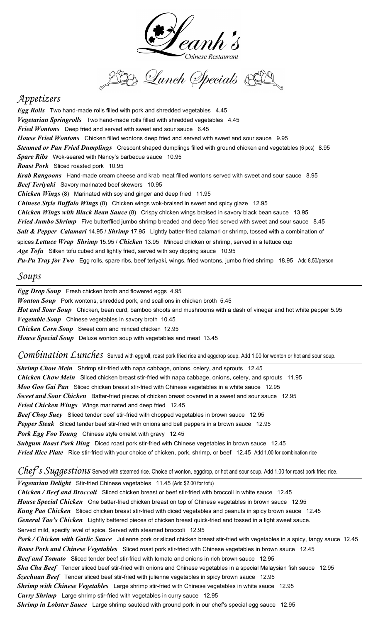

B Lunch Specials SD

# *Appetizers*

*Egg Rolls* Two hand-made rolls filled with pork and shredded vegetables 4.45 *Vegetarian Springrolls* Two hand-made rolls filled with shredded vegetables 4.45 *Fried Wontons* Deep fried and served with sweet and sour sauce 6.45 *House Fried Wontons* Chicken filled wontons deep fried and served with sweet and sour sauce 9.95 *Steamed or Pan Fried Dumplings* Crescent shaped dumplings filled with ground chicken and vegetables (6 pcs) 8.95 *Spare Ribs* Wok-seared with Nancy's barbecue sauce 10.95 *Roast Pork* Sliced roasted pork 10.95 *Krab Rangoons* Hand-made cream cheese and krab meat filled wontons served with sweet and sour sauce 8.95 *Beef Teriyaki* Savory marinated beef skewers 10.95 *Chicken Wings* (8) Marinated with soy and ginger and deep fried 11.95 *Chinese Style Buffalo Wings* (8) Chicken wings wok-braised in sweet and spicy glaze 12.95 *Chicken Wings with Black Bean Sauce* (8) Crispy chicken wings braised in savory black bean sauce 13.95 *Fried Jumbo Shrimp* Five butterflied jumbo shrimp breaded and deep fried served with sweet and sour sauce 8.45 *Salt & Pepper Calamari* 14.95 / *Shrimp* 17.95 Lightly batter-fried calamari or shrimp, tossed with a combination of spices *Lettuce Wrap Shrimp* 15.95 / *Chicken* 13.95 Minced chicken or shrimp, served in a lettuce cup *Age Tofu* Silken tofu cubed and lightly fried, served with soy dipping sauce 10.95 *Pu-Pu Tray for Two* Egg rolls, spare ribs, beef teriyaki, wings, fried wontons, jumbo fried shrimp 18.95 Add 8.50/person

### *Soups*

*Egg Drop Soup* Fresh chicken broth and flowered eggs 4.95 *Wonton Soup* Pork wontons, shredded pork, and scallions in chicken broth 5.45 *Hot and Sour Soup* Chicken, bean curd, bamboo shoots and mushrooms with a dash of vinegar and hot white pepper 5.95 *Vegetable Soup* Chinese vegetables in savory broth 10.45 *Chicken Corn Soup* Sweet corn and minced chicken 12.95 *House Special Soup* Deluxe wonton soup with vegetables and meat 13.45

*Combination Lunches* Served with eggroll, roast pork fried rice and eggdrop soup. Add 1.00 for wonton or hot and sour soup.

*Shrimp Chow Mein* Shrimp stir-fried with napa cabbage, onions, celery, and sprouts 12.45 *Chicken Chow Mein* Sliced chicken breast stir-fried with napa cabbage, onions, celery, and sprouts 11.95 *Moo Goo Gai Pan* Sliced chicken breast stir-fried with Chinese vegetables in a white sauce 12.95 *Sweet and Sour Chicken* Batter-fried pieces of chicken breast covered in a sweet and sour sauce 12.95 *Fried Chicken Wings* Wings marinated and deep fried 12.45 *Beef Chop Suey* Sliced tender beef stir-fried with chopped vegetables in brown sauce 12.95 *Pepper Steak* Sliced tender beef stir-fried with onions and bell peppers in a brown sauce 12.95 *Pork Egg Foo Young* Chinese style omelet with gravy 12.45 *Subgum Roast Pork Ding* Diced roast pork stir-fried with Chinese vegetables in brown sauce 12.45 *Fried Rice Plate* Rice stir-fried with your choice of chicken, pork, shrimp, or beef 12.45 Add 1.00 for combination rice

*Chef's Suggestions* Served with steamed rice. Choice of wonton, eggdrop, or hot and sour soup. Add 1.00 for roast pork fried rice.

*Vegetarian Delight* Stir-fried Chinese vegetables 11.45 (Add \$2.00 for tofu)

*Chicken / Beef and Broccoli* Sliced chicken breast or beef stir-fried with broccoli in white sauce 12.45 *House Special Chicken* One batter-fried chicken breast on top of Chinese vegetables in brown sauce 12.95 *Kung Pao Chicken* Sliced chicken breast stir-fried with diced vegetables and peanuts in spicy brown sauce 12.45 *General Tao's Chicken* Lightly battered pieces of chicken breast quick-fried and tossed in a light sweet sauce. Served mild, specify level of spice. Served with steamed broccoli 12.95 *Pork / Chicken with Garlic Sauce* Julienne pork or sliced chicken breast stir-fried with vegetables in a spicy, tangy sauce 12.45 *Roast Pork and Chinese Vegetables* Sliced roast pork stir-fried with Chinese vegetables in brown sauce 12.45 *Beef and Tomato* Sliced tender beef stir-fried with tomato and onions in rich brown sauce 12.95 *Sha Cha Beef* Tender sliced beef stir-fried with onions and Chinese vegetables in a special Malaysian fish sauce 12.95 *Szechuan Beef* Tender sliced beef stir-fried with julienne vegetables in spicy brown sauce 12.95 *Shrimp with Chinese Vegetables* Large shrimp stir-fried with Chinese vegetables in white sauce 12.95 *Curry Shrimp* Large shrimp stir-fried with vegetables in curry sauce 12.95 *Shrimp in Lobster Sauce* Large shrimp sautéed with ground pork in our chef's special egg sauce 12.95